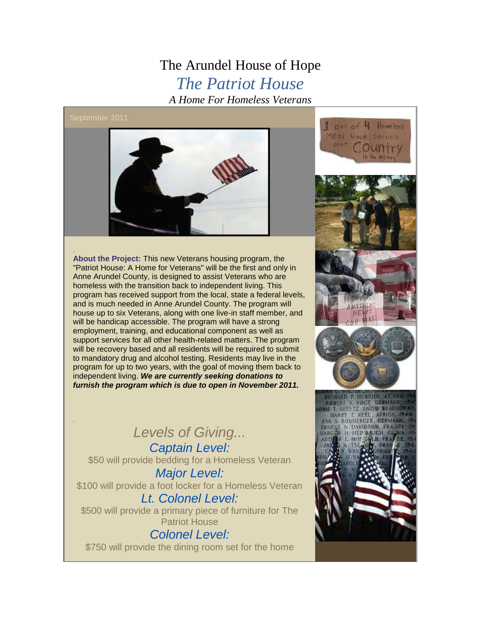## The Arundel House of Hope *The Patriot House A Home For Homeless Veterans*

## September 2011

.



. **About the Project:** This new Veterans housing program, the "Patriot House: A Home for Veterans" will be the first and only in Anne Arundel County, is designed to assist Veterans who are homeless with the transition back to independent living. This program has received support from the local, state a federal levels, and is much needed in Anne Arundel County. The program will house up to six Veterans, along with one live-in staff member, and will be handicap accessible. The program will have a strong employment, training, and educational component as well as support services for all other health-related matters. The program will be recovery based and all residents will be required to submit to mandatory drug and alcohol testing. Residents may live in the program for up to two years, with the goal of moving them back to independent living. *We are currently seeking donations to furnish the program which is due to open in November 2011.* 

## *Levels of Giving...*

*Captain Level:* \$50 will provide bedding for a Homeless Veteran *Major Level:* \$100 will provide a foot locker for a Homeless Veteran *Lt. Colonel Level:* \$500 will provide a primary piece of furniture for The Patriot House

*Colonel Level:*  \$750 will provide the dining room set for the home